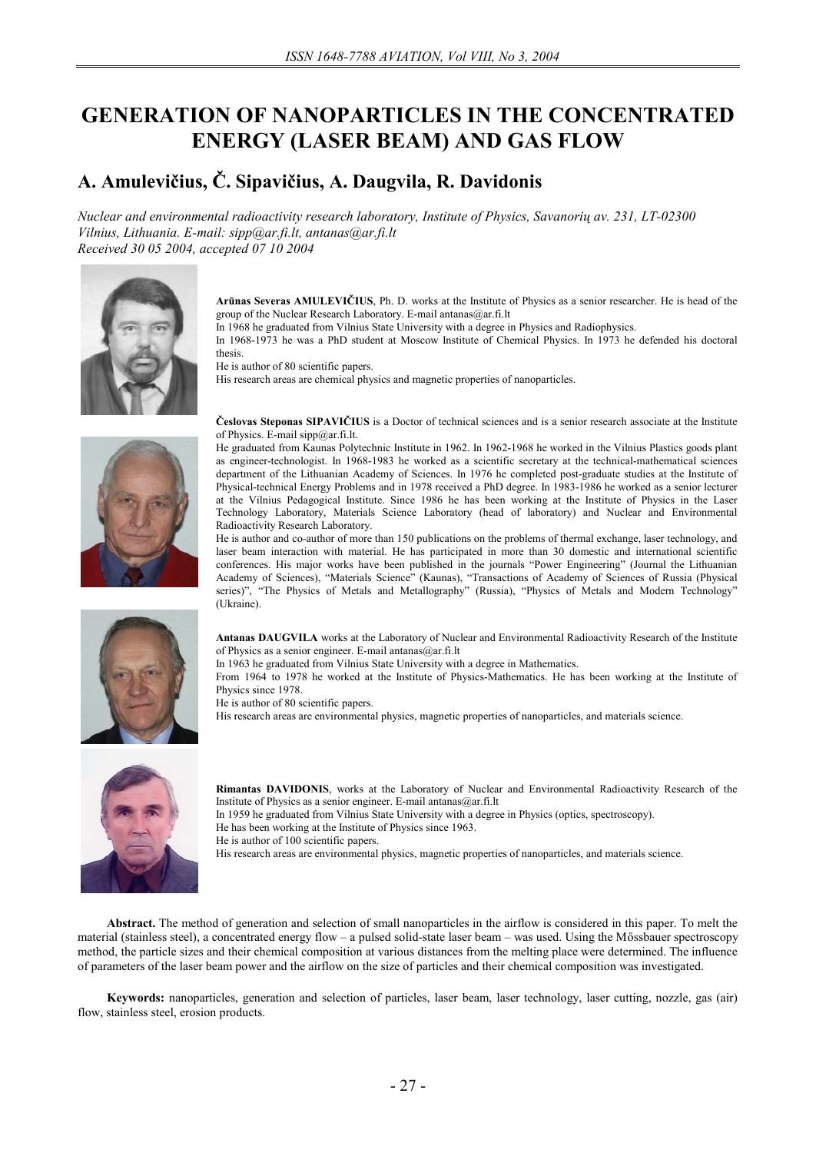# **GENERATION OF NANOPARTICLES IN THE CONCENTRATED ENERGY (LASER BEAM) AND GAS FLOW**

# **A. Amulevičius, Č. Sipavičius, A. Daugvila, R. Davidonis**

*Nuclear and environmental radioactivity research laboratory, Institute of Physics, Savanorių av. 231, LT-02300 Vilnius, Lithuania. E-mail: sipp@ar.fi.lt, antanas@ar.fi.lt Received 30 05 2004, accepted 07 10 2004* 



**Arūnas Severas AMULEVIČIUS**, Ph. D. works at the Institute of Physics as a senior researcher. He is head of the group of the Nuclear Research Laboratory. E-mail antanas@ar.fi.lt

In 1968 he graduated from Vilnius State University with a degree in Physics and Radiophysics.

In 1968-1973 he was a PhD student at Moscow Institute of Chemical Physics. In 1973 he defended his doctoral thesis.

He is author of 80 scientific papers.

His research areas are chemical physics and magnetic properties of nanoparticles.



**Česlovas Steponas SIPAVIČIUS** is a Doctor of technical sciences and is a senior research associate at the Institute of Physics. E-mail  $\text{sipp}(\partial_t \text{ar.fi.lt.})$ 

He graduated from Kaunas Polytechnic Institute in 1962. In 1962-1968 he worked in the Vilnius Plastics goods plant as engineer-technologist. In 1968-1983 he worked as a scientific secretary at the technical-mathematical sciences department of the Lithuanian Academy of Sciences. In 1976 he completed post-graduate studies at the Institute of Physical-technical Energy Problems and in 1978 received a PhD degree. In 1983-1986 he worked as a senior lecturer at the Vilnius Pedagogical Institute. Since 1986 he has been working at the Institute of Physics in the Laser Technology Laboratory, Materials Science Laboratory (head of laboratory) and Nuclear and Environmental Radioactivity Research Laboratory.

He is author and co-author of more than 150 publications on the problems of thermal exchange, laser technology, and laser beam interaction with material. He has participated in more than 30 domestic and international scientific conferences. His major works have been published in the journals "Power Engineering" (Journal the Lithuanian Academy of Sciences), "Materials Science" (Kaunas), "Transactions of Academy of Sciences of Russia (Physical series)", "The Physics of Metals and Metallography" (Russia), "Physics of Metals and Modern Technology" (Ukraine).



**Antanas DAUGVILA** works at the Laboratory of Nuclear and Environmental Radioactivity Research of the Institute of Physics as a senior engineer. E-mail antanas@ar.fi.lt

In 1963 he graduated from Vilnius State University with a degree in Mathematics.

From 1964 to 1978 he worked at the Institute of Physics-Mathematics. He has been working at the Institute of Physics since 1978.

He is author of 80 scientific papers.

His research areas are environmental physics, magnetic properties of nanoparticles, and materials science.



**Rimantas DAVIDONIS**, works at the Laboratory of Nuclear and Environmental Radioactivity Research of the Institute of Physics as a senior engineer. E-mail antanas@ar.fi.lt

In 1959 he graduated from Vilnius State University with a degree in Physics (optics, spectroscopy).

He has been working at the Institute of Physics since 1963.

He is author of 100 scientific papers.

His research areas are environmental physics, magnetic properties of nanoparticles, and materials science.

**Abstract.** The method of generation and selection of small nanoparticles in the airflow is considered in this paper. To melt the material (stainless steel), a concentrated energy flow – a pulsed solid-state laser beam – was used. Using the Mőssbauer spectroscopy method, the particle sizes and their chemical composition at various distances from the melting place were determined. The influence of parameters of the laser beam power and the airflow on the size of particles and their chemical composition was investigated.

**Keywords:** nanoparticles, generation and selection of particles, laser beam, laser technology, laser cutting, nozzle, gas (air) flow, stainless steel, erosion products.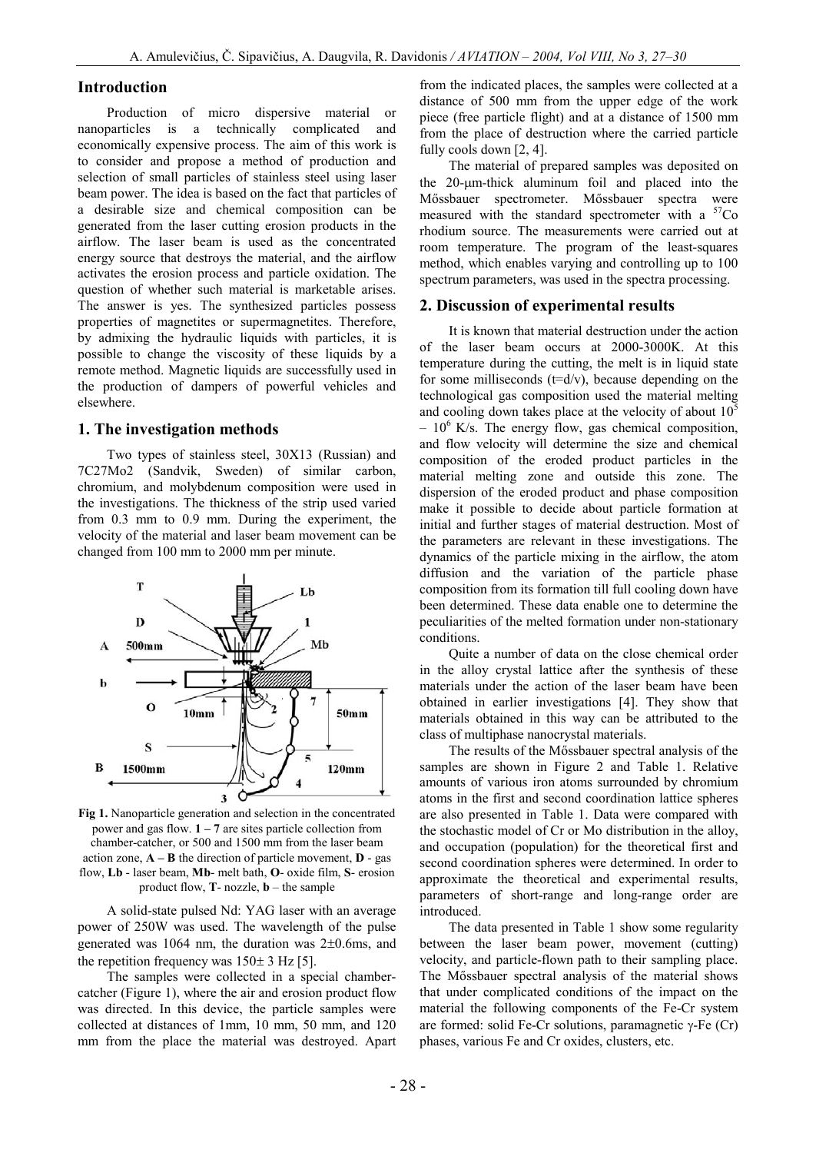## **Introduction**

Production of micro dispersive material or nanoparticles is a technically complicated and economically expensive process. The aim of this work is to consider and propose a method of production and selection of small particles of stainless steel using laser beam power. The idea is based on the fact that particles of a desirable size and chemical composition can be generated from the laser cutting erosion products in the airflow. The laser beam is used as the concentrated energy source that destroys the material, and the airflow activates the erosion process and particle oxidation. The question of whether such material is marketable arises. The answer is yes. The synthesized particles possess properties of magnetites or supermagnetites. Therefore, by admixing the hydraulic liquids with particles, it is possible to change the viscosity of these liquids by a remote method. Magnetic liquids are successfully used in the production of dampers of powerful vehicles and elsewhere.

#### **1. The investigation methods**

Two types of stainless steel, 30X13 (Russian) and 7C27Mo2 (Sandvik, Sweden) of similar carbon, chromium, and molybdenum composition were used in the investigations. The thickness of the strip used varied from 0.3 mm to 0.9 mm. During the experiment, the velocity of the material and laser beam movement can be changed from 100 mm to 2000 mm per minute.



**Fig 1.** Nanoparticle generation and selection in the concentrated power and gas flow. **1 – 7** are sites particle collection from chamber-catcher, or 500 and 1500 mm from the laser beam action zone,  $\mathbf{A} - \mathbf{B}$  the direction of particle movement,  $\mathbf{D}$  - gas flow, **Lb** - laser beam, **Mb**- melt bath, **O**- oxide film, **S**- erosion product flow, **T**- nozzle, **b** – the sample

A solid-state pulsed Nd: YAG laser with an average power of 250W was used. The wavelength of the pulse generated was 1064 nm, the duration was 2±0.6ms, and the repetition frequency was  $150± 3$  Hz [5].

The samples were collected in a special chambercatcher (Figure 1), where the air and erosion product flow was directed. In this device, the particle samples were collected at distances of 1mm, 10 mm, 50 mm, and 120 mm from the place the material was destroyed. Apart from the indicated places, the samples were collected at a distance of 500 mm from the upper edge of the work piece (free particle flight) and at a distance of 1500 mm from the place of destruction where the carried particle fully cools down [2, 4].

The material of prepared samples was deposited on the 20-mm-thick aluminum foil and placed into the Mőssbauer spectrometer. Mőssbauer spectra were measured with the standard spectrometer with a <sup>57</sup>Co rhodium source. The measurements were carried out at room temperature. The program of the least-squares method, which enables varying and controlling up to 100 spectrum parameters, was used in the spectra processing.

### **2. Discussion of experimental results**

It is known that material destruction under the action of the laser beam occurs at 2000-3000K. At this temperature during the cutting, the melt is in liquid state for some milliseconds  $(t=d/v)$ , because depending on the technological gas composition used the material melting and cooling down takes place at the velocity of about  $10<sup>5</sup>$  $-10^6$  K/s. The energy flow, gas chemical composition, and flow velocity will determine the size and chemical composition of the eroded product particles in the material melting zone and outside this zone. The dispersion of the eroded product and phase composition make it possible to decide about particle formation at initial and further stages of material destruction. Most of the parameters are relevant in these investigations. The dynamics of the particle mixing in the airflow, the atom diffusion and the variation of the particle phase composition from its formation till full cooling down have been determined. These data enable one to determine the peculiarities of the melted formation under non-stationary conditions.

Quite a number of data on the close chemical order in the alloy crystal lattice after the synthesis of these materials under the action of the laser beam have been obtained in earlier investigations [4]. They show that materials obtained in this way can be attributed to the class of multiphase nanocrystal materials.

The results of the Mőssbauer spectral analysis of the samples are shown in Figure 2 and Table 1. Relative amounts of various iron atoms surrounded by chromium atoms in the first and second coordination lattice spheres are also presented in Table 1. Data were compared with the stochastic model of Cr or Mo distribution in the alloy, and occupation (population) for the theoretical first and second coordination spheres were determined. In order to approximate the theoretical and experimental results, parameters of short-range and long-range order are introduced.

The data presented in Table 1 show some regularity between the laser beam power, movement (cutting) velocity, and particle-flown path to their sampling place. The Mőssbauer spectral analysis of the material shows that under complicated conditions of the impact on the material the following components of the Fe-Cr system are formed: solid Fe-Cr solutions, paramagnetic  $\gamma$ -Fe (Cr) phases, various Fe and Cr oxides, clusters, etc.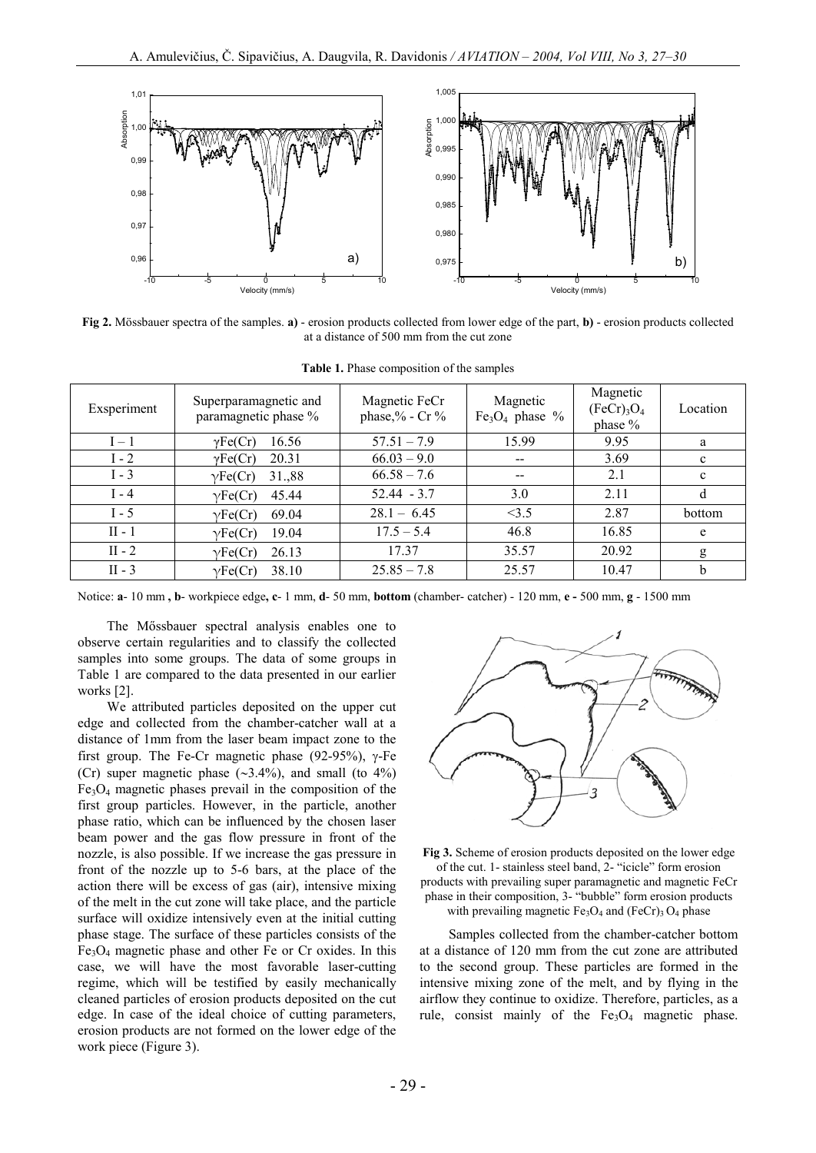

**Fig 2.** Mössbauer spectra of the samples. **a)** - erosion products collected from lower edge of the part, **b)** - erosion products collected at a distance of 500 mm from the cut zone

| Exsperiment | Superparamagnetic and<br>paramagnetic phase % | Magnetic FeCr<br>phase, $\%$ - Cr $\%$ | Magnetic<br>Fe <sub>3</sub> O <sub>4</sub> phase % | Magnetic<br>(FeCr) <sub>3</sub> O <sub>4</sub><br>phase % | Location     |
|-------------|-----------------------------------------------|----------------------------------------|----------------------------------------------------|-----------------------------------------------------------|--------------|
| $I-1$       | 16.56<br>$\gamma$ Fe(Cr)                      | $57.51 - 7.9$                          | 15.99                                              | 9.95                                                      | a            |
| $I - 2$     | 20.31<br>$\gamma \text{Fe(Cr)}$               | $66.03 - 9.0$                          | --                                                 | 3.69                                                      | $\mathbf c$  |
| $I - 3$     | 31.,88<br>$\gamma$ Fe(Cr)                     | $66.58 - 7.6$                          | $- -$                                              | 2.1                                                       | $\mathbf{c}$ |
| $I - 4$     | 45.44<br>$\gamma$ Fe(Cr)                      | $52.44 - 3.7$                          | 3.0                                                | 2.11                                                      |              |
| $I - 5$     | 69.04<br>$\gamma$ Fe(Cr)                      | $28.1 - 6.45$                          | <3.5                                               | 2.87                                                      | bottom       |
| $II - 1$    | 19.04<br>$\gamma$ Fe(Cr)                      | $17.5 - 5.4$                           | 46.8                                               | 16.85                                                     | e            |
| $II - 2$    | 26.13<br>$\gamma$ Fe(Cr)                      | 17.37                                  | 35.57                                              | 20.92                                                     | g            |
| $II - 3$    | 38.10<br>$\gamma$ Fe(Cr)                      | $25.85 - 7.8$                          | 25.57                                              | 10.47                                                     | b            |

**Table 1.** Phase composition of the samples

Notice: **a**- 10 mm **, b**- workpiece edge**, c**- 1 mm, **d**- 50 mm, **bottom** (chamber- catcher) - 120 mm, **e -** 500 mm, **g** - 1500 mm

The Mőssbauer spectral analysis enables one to observe certain regularities and to classify the collected samples into some groups. The data of some groups in Table 1 are compared to the data presented in our earlier works [2].

We attributed particles deposited on the upper cut edge and collected from the chamber-catcher wall at a distance of 1mm from the laser beam impact zone to the first group. The Fe-Cr magnetic phase (92-95%),  $\gamma$ -Fe (Cr) super magnetic phase  $(\sim 3.4\%)$ , and small (to  $4\%$ )  $Fe<sub>3</sub>O<sub>4</sub>$  magnetic phases prevail in the composition of the first group particles. However, in the particle, another phase ratio, which can be influenced by the chosen laser beam power and the gas flow pressure in front of the nozzle, is also possible. If we increase the gas pressure in front of the nozzle up to 5-6 bars, at the place of the action there will be excess of gas (air), intensive mixing of the melt in the cut zone will take place, and the particle surface will oxidize intensively even at the initial cutting phase stage. The surface of these particles consists of the  $Fe<sub>3</sub>O<sub>4</sub>$  magnetic phase and other Fe or Cr oxides. In this case, we will have the most favorable laser-cutting regime, which will be testified by easily mechanically cleaned particles of erosion products deposited on the cut edge. In case of the ideal choice of cutting parameters, erosion products are not formed on the lower edge of the work piece (Figure 3).



**Fig 3.** Scheme of erosion products deposited on the lower edge of the cut. 1- stainless steel band, 2- "icicle" form erosion products with prevailing super paramagnetic and magnetic FeCr phase in their composition, 3- "bubble" form erosion products with prevailing magnetic  $Fe<sub>3</sub>O<sub>4</sub>$  and  $(FeCr)<sub>3</sub>O<sub>4</sub>$  phase

Samples collected from the chamber-catcher bottom at a distance of 120 mm from the cut zone are attributed to the second group. These particles are formed in the intensive mixing zone of the melt, and by flying in the airflow they continue to oxidize. Therefore, particles, as a rule, consist mainly of the  $Fe<sub>3</sub>O<sub>4</sub>$  magnetic phase.